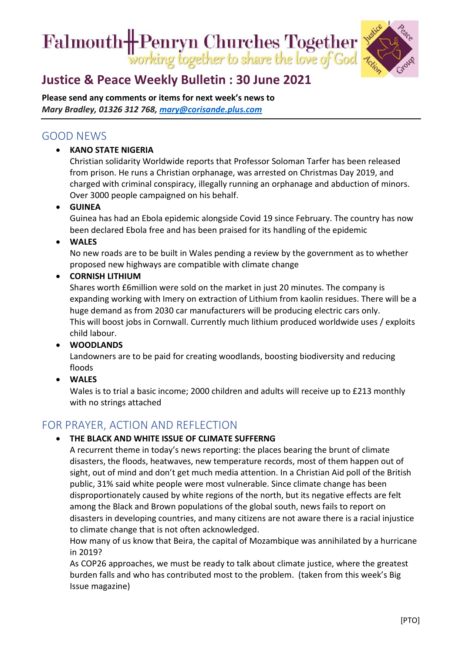# Falmouth Henryn Churches Together<br>working together to share the love of God



## **[Justice & Peace Weekly Bulletin : 30](https://ctcinfohub.us20.list-manage.com/track/click?u=b645f09ec283e4df6750ff7ee&id=b04d1aea1f&e=5e2c195eda) June 2021**

**Please send any comments or items for next week's news to**  *Mary Bradley, 01326 312 768, [mary@corisande.plus.com](mailto:mary@corisande.plus.com)*

### GOOD NEWS

• **KANO STATE NIGERIA**

Christian solidarity Worldwide reports that Professor Soloman Tarfer has been released from prison. He runs a Christian orphanage, was arrested on Christmas Day 2019, and charged with criminal conspiracy, illegally running an orphanage and abduction of minors. Over 3000 people campaigned on his behalf.

• **GUINEA**

Guinea has had an Ebola epidemic alongside Covid 19 since February. The country has now been declared Ebola free and has been praised for its handling of the epidemic

• **WALES**

No new roads are to be built in Wales pending a review by the government as to whether proposed new highways are compatible with climate change

#### • **CORNISH LITHIUM**

Shares worth £6million were sold on the market in just 20 minutes. The company is expanding working with Imery on extraction of Lithium from kaolin residues. There will be a huge demand as from 2030 car manufacturers will be producing electric cars only. This will boost jobs in Cornwall. Currently much lithium produced worldwide uses / exploits child labour.

• **WOODLANDS**

Landowners are to be paid for creating woodlands, boosting biodiversity and reducing floods

• **WALES**

Wales is to trial a basic income; 2000 children and adults will receive up to £213 monthly with no strings attached

## FOR PRAYER, ACTION AND REFLECTION

#### • **THE BLACK AND WHITE ISSUE OF CLIMATE SUFFERNG**

A recurrent theme in today's news reporting: the places bearing the brunt of climate disasters, the floods, heatwaves, new temperature records, most of them happen out of sight, out of mind and don't get much media attention. In a Christian Aid poll of the British public, 31% said white people were most vulnerable. Since climate change has been disproportionately caused by white regions of the north, but its negative effects are felt among the Black and Brown populations of the global south, news fails to report on disasters in developing countries, and many citizens are not aware there is a racial injustice to climate change that is not often acknowledged.

How many of us know that Beira, the capital of Mozambique was annihilated by a hurricane in 2019?

As COP26 approaches, we must be ready to talk about climate justice, where the greatest burden falls and who has contributed most to the problem. (taken from this week's Big Issue magazine)